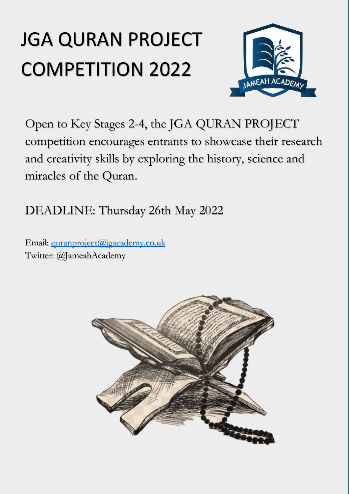# JGA QURAN PROJECT COMPETITION 2022



Open to Key Stages 2-4, the JGA QURAN PROJECT competition encourages entrants to showcase their research and creativity skills by exploring the history, science and miracles of the Quran.

DEADLINE: Thursday 26th May 2022

Email: [quranproject@jgacademy.co.uk](mailto:quranproject@jgacademy.co.uk) Twitter: @JameahAcademy

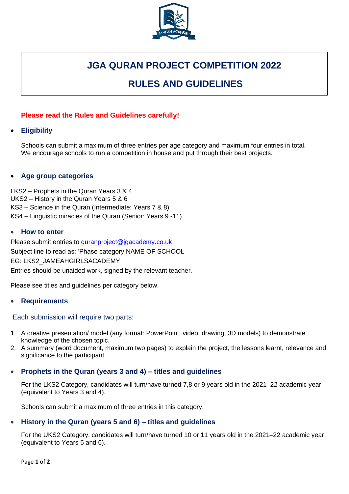

# **JGA QURAN PROJECT COMPETITION 2022**

# **RULES AND GUIDELINES**

# **Please read the Rules and Guidelines carefully!**

## • **Eligibility**

Schools can submit a maximum of three entries per age category and maximum four entries in total. We encourage schools to run a competition in house and put through their best projects.

#### • **Age group categories**

LKS2 – Prophets in the Quran Years 3 & 4 UKS2 – History in the Quran Years 5 & 6 • KS3 – Science in the Quran (Intermediate: Years 7 & 8) • KS4 – Linguistic miracles of the Quran (Senior: Years 9 -11)

#### • **How to enter**

Please submit entries to [quranproject@jgacademy.co.uk](mailto:quranproject@jgacademy.co.uk) Subject line to read as: 'Phase category NAME OF SCHOOL EG: LKS2\_JAMEAHGIRLSACADEMY Entries should be unaided work, signed by the relevant teacher.

Please see titles and guidelines per category below.

#### • **Requirements**

#### Each submission will require two parts:

- 1. A creative presentation/ model (any format: PowerPoint, video, drawing, 3D models) to demonstrate knowledge of the chosen topic.
- 2. A summary (word document, maximum two pages) to explain the project, the lessons learnt, relevance and significance to the participant.

#### • **Prophets in the Quran (years 3 and 4) – titles and guidelines**

For the LKS2 Category, candidates will turn/have turned 7,8 or 9 years old in the 2021–22 academic year (equivalent to Years 3 and 4).

Schools can submit a maximum of three entries in this category.

# • **History in the Quran (years 5 and 6) – titles and guidelines**

For the UKS2 Category, candidates will turn/have turned 10 or 11 years old in the 2021–22 academic year (equivalent to Years 5 and 6).